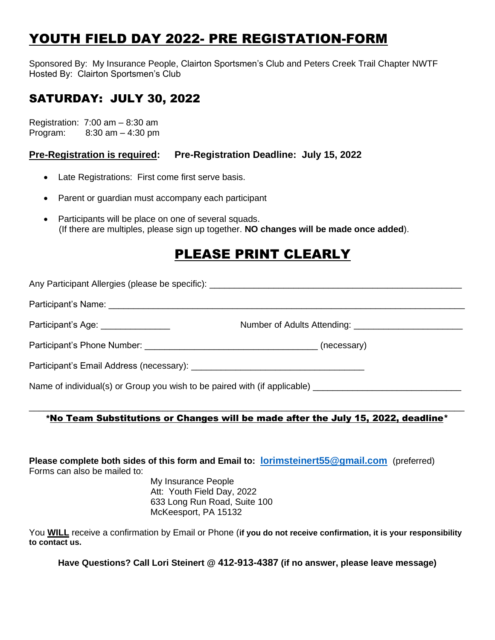# YOUTH FIELD DAY 2022- PRE REGISTATION-FORM

Sponsored By: My Insurance People, Clairton Sportsmen's Club and Peters Creek Trail Chapter NWTF Hosted By: Clairton Sportsmen's Club

### SATURDAY: JULY 30, 2022

Registration: 7:00 am – 8:30 am Program: 8:30 am – 4:30 pm

**Pre-Registration is required: Pre-Registration Deadline: July 15, 2022**

- Late Registrations: First come first serve basis.
- Parent or guardian must accompany each participant
- Participants will be place on one of several squads. (If there are multiples, please sign up together. **NO changes will be made once added**).

## PLEASE PRINT CLEARLY

Any Participant Allergies (please be specific): \_\_\_\_\_\_\_\_\_\_\_\_\_\_\_\_\_\_\_\_\_\_\_\_\_\_\_\_\_\_\_\_\_\_\_\_\_\_\_\_\_\_\_\_\_\_\_\_\_\_\_ Participant's Name: \_\_\_\_\_\_\_\_\_\_\_\_\_\_\_\_\_\_\_\_\_\_\_\_\_\_\_\_\_\_\_\_\_\_\_\_\_\_\_\_\_\_\_\_\_\_\_\_\_\_\_\_\_\_\_\_\_\_\_\_\_\_\_\_\_\_\_\_\_\_\_\_ Participant's Age: example and the Number of Adults Attending: example and the Participant's Age: Participant's Phone Number: example of the state of the state of the state (necessary) Participant's Email Address (necessary): Name of individual(s) or Group you wish to be paired with (if applicable) \_\_\_\_\_\_\_\_\_\_\_\_\_\_\_\_\_\_\_\_\_\_\_\_\_\_\_\_\_\_

### \_\_\_\_\_\_\_\_\_\_\_\_\_\_\_\_\_\_\_\_\_\_\_\_\_\_\_\_\_\_\_\_\_\_\_\_\_\_\_\_\_\_\_\_\_\_\_\_\_\_\_\_\_\_\_\_\_\_\_\_\_\_\_\_\_\_\_\_\_\_\_\_\_\_\_\_\_\_\_\_\_\_\_\_\_\_\_\_ **\***No Team Substitutions or Changes will be made after the July 15, 2022, deadline\*

**Please complete both sides of this form and Email to: [lorimsteinert55@gmail.com](mailto:lorimsteinert55@gmail.com)** (preferred) Forms can also be mailed to:

> My Insurance People Att: Youth Field Day, 2022 633 Long Run Road, Suite 100 McKeesport, PA 15132

You **WILL** receive a confirmation by Email or Phone (**if you do not receive confirmation, it is your responsibility to contact us.**

**Have Questions? Call Lori Steinert @ 412-913-4387 (if no answer, please leave message)**